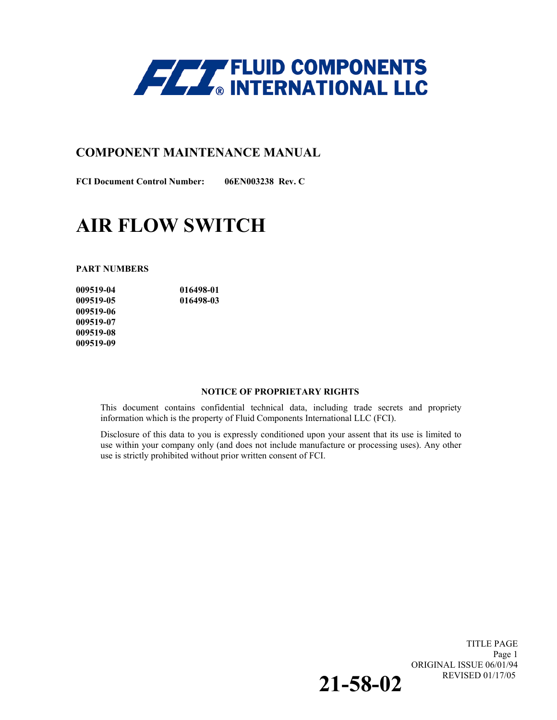

### **COMPONENT MAINTENANCE MANUAL**

**FCI Document Control Number: 06EN003238 Rev. C** 

# **AIR FLOW SWITCH**

**PART NUMBERS** 

**009519-04 016498-01 009519-05 016498-03 009519-06 009519-07 009519-08 009519-09** 

#### **NOTICE OF PROPRIETARY RIGHTS**

This document contains confidential technical data, including trade secrets and propriety information which is the property of Fluid Components International LLC (FCI).

Disclosure of this data to you is expressly conditioned upon your assent that its use is limited to use within your company only (and does not include manufacture or processing uses). Any other use is strictly prohibited without prior written consent of FCI.

> TITLE PAGE Page 1 ORIGINAL ISSUE 06/01/94<br>REVISED 01/17/05 REVISED 01/17/05 **21-58-02**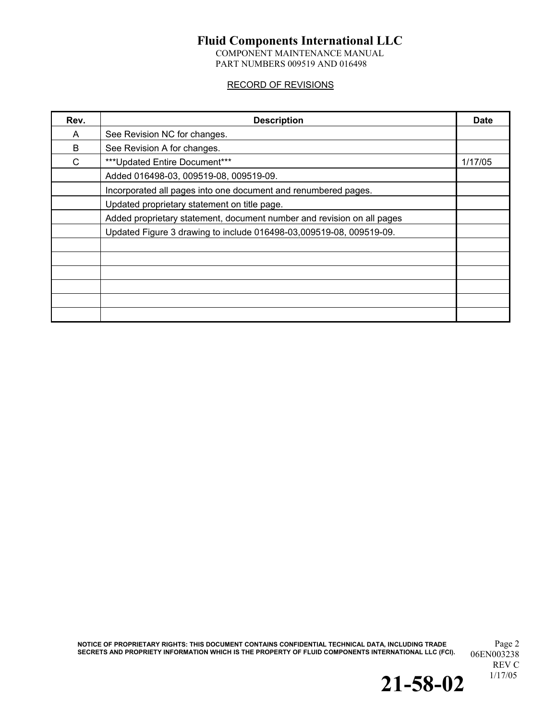COMPONENT MAINTENANCE MANUAL PART NUMBERS 009519 AND 016498

### RECORD OF REVISIONS

| Rev. | <b>Description</b>                                                     | <b>Date</b> |
|------|------------------------------------------------------------------------|-------------|
| A    | See Revision NC for changes.                                           |             |
| B    | See Revision A for changes.                                            |             |
| C    | *** Updated Entire Document***                                         | 1/17/05     |
|      | Added 016498-03, 009519-08, 009519-09.                                 |             |
|      | Incorporated all pages into one document and renumbered pages.         |             |
|      | Updated proprietary statement on title page.                           |             |
|      | Added proprietary statement, document number and revision on all pages |             |
|      | Updated Figure 3 drawing to include 016498-03,009519-08, 009519-09.    |             |
|      |                                                                        |             |
|      |                                                                        |             |
|      |                                                                        |             |
|      |                                                                        |             |
|      |                                                                        |             |
|      |                                                                        |             |

**NOTICE OF PROPRIETARY RIGHTS: THIS DOCUMENT CONTAINS CONFIDENTIAL TECHNICAL DATA, INCLUDING TRADE** Page 2 SECRETS AND PROPRIETY INFORMATION WHICH IS THE PROPERTY OF FLUID COMPONENTS INTERNATIONAL LLC (FCI).  $06{\rm EN}003238$ 

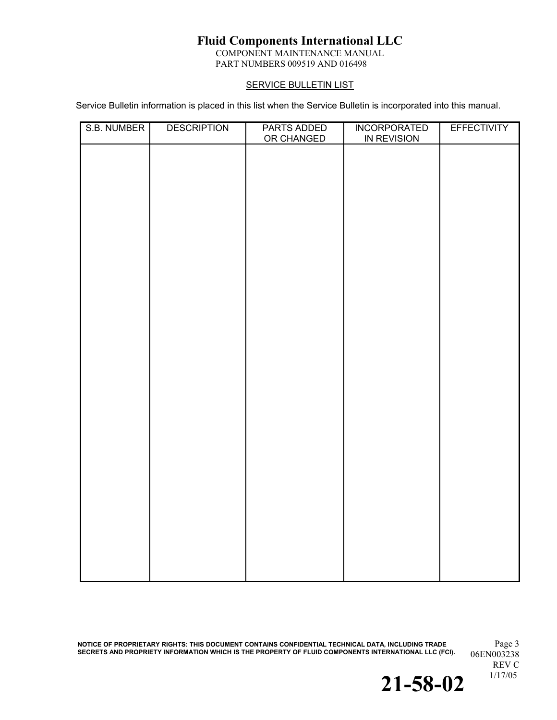COMPONENT MAINTENANCE MANUAL PART NUMBERS 009519 AND 016498

### **SERVICE BULLETIN LIST**

Service Bulletin information is placed in this list when the Service Bulletin is incorporated into this manual.

| S.B. NUMBER | <b>DESCRIPTION</b> | PARTS ADDED<br>OR CHANGED | <b>INCORPORATED</b><br>IN REVISION | <b>EFFECTIVITY</b> |
|-------------|--------------------|---------------------------|------------------------------------|--------------------|
|             |                    |                           |                                    |                    |
|             |                    |                           |                                    |                    |
|             |                    |                           |                                    |                    |
|             |                    |                           |                                    |                    |
|             |                    |                           |                                    |                    |
|             |                    |                           |                                    |                    |
|             |                    |                           |                                    |                    |
|             |                    |                           |                                    |                    |
|             |                    |                           |                                    |                    |
|             |                    |                           |                                    |                    |
|             |                    |                           |                                    |                    |
|             |                    |                           |                                    |                    |
|             |                    |                           |                                    |                    |
|             |                    |                           |                                    |                    |
|             |                    |                           |                                    |                    |
|             |                    |                           |                                    |                    |
|             |                    |                           |                                    |                    |
|             |                    |                           |                                    |                    |
|             |                    |                           |                                    |                    |
|             |                    |                           |                                    |                    |
|             |                    |                           |                                    |                    |
|             |                    |                           |                                    |                    |
|             |                    |                           |                                    |                    |

**NOTICE OF PROPRIETARY RIGHTS: THIS DOCUMENT CONTAINS CONFIDENTIAL TECHNICAL DATA, INCLUDING TRADE** Page 3 SECRETS AND PROPRIETY INFORMATION WHICH IS THE PROPERTY OF FLUID COMPONENTS INTERNATIONAL LLC (FCI).  $06{\rm EN}003238$ 

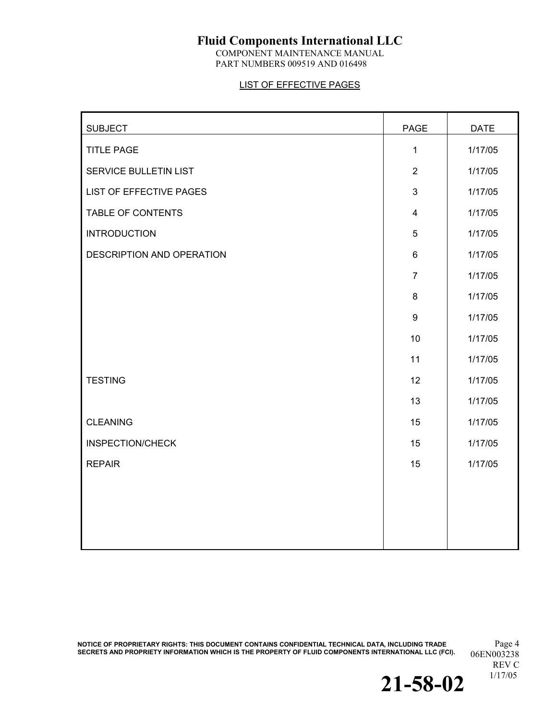COMPONENT MAINTENANCE MANUAL PART NUMBERS 009519 AND 016498

### LIST OF EFFECTIVE PAGES

| <b>SUBJECT</b>            | PAGE             | <b>DATE</b> |
|---------------------------|------------------|-------------|
| <b>TITLE PAGE</b>         | 1                | 1/17/05     |
| SERVICE BULLETIN LIST     | 2                | 1/17/05     |
| LIST OF EFFECTIVE PAGES   | $\mathfrak{S}$   | 1/17/05     |
| TABLE OF CONTENTS         | $\overline{4}$   | 1/17/05     |
| <b>INTRODUCTION</b>       | 5                | 1/17/05     |
| DESCRIPTION AND OPERATION | 6                | 1/17/05     |
|                           | $\overline{7}$   | 1/17/05     |
|                           | 8                | 1/17/05     |
|                           | $\boldsymbol{9}$ | 1/17/05     |
|                           | 10               | 1/17/05     |
|                           | 11               | 1/17/05     |
| <b>TESTING</b>            | 12               | 1/17/05     |
|                           | 13               | 1/17/05     |
| <b>CLEANING</b>           | 15               | 1/17/05     |
| <b>INSPECTION/CHECK</b>   | 15               | 1/17/05     |
| <b>REPAIR</b>             | 15               | 1/17/05     |
|                           |                  |             |
|                           |                  |             |
|                           |                  |             |
|                           |                  |             |

**NOTICE OF PROPRIETARY RIGHTS: THIS DOCUMENT CONTAINS CONFIDENTIAL TECHNICAL DATA, INCLUDING TRADE** Page 4 SECRETS AND PROPRIETY INFORMATION WHICH IS THE PROPERTY OF FLUID COMPONENTS INTERNATIONAL LLC (FCI).  $06{\rm EN}003238$ 

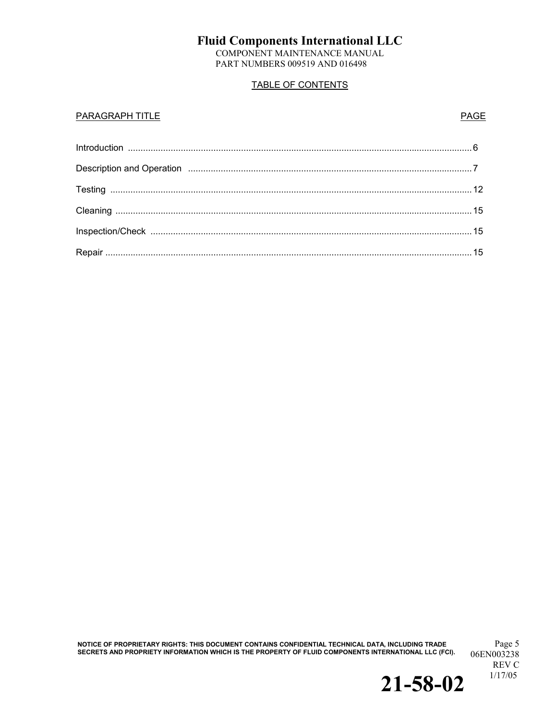COMPONENT MAINTENANCE MANUAL PART NUMBERS 009519 AND 016498

### TABLE OF CONTENTS

#### **PARAGRAPH TITLE** PARAGRAPH TITLE

NOTICE OF PROPRIETARY RIGHTS: THIS DOCUMENT CONTAINS CONFIDENTIAL TECHNICAL DATA, INCLUDING TRADE <sup>Page 5</sup><br>SECRETS AND PROPRIETY INFORMATION WHICH IS THE PROPERTY OF FLUID COMPONENTS INTERNATIONAL LLC (FCI).

06EN003238 REV C<br>1/17/05

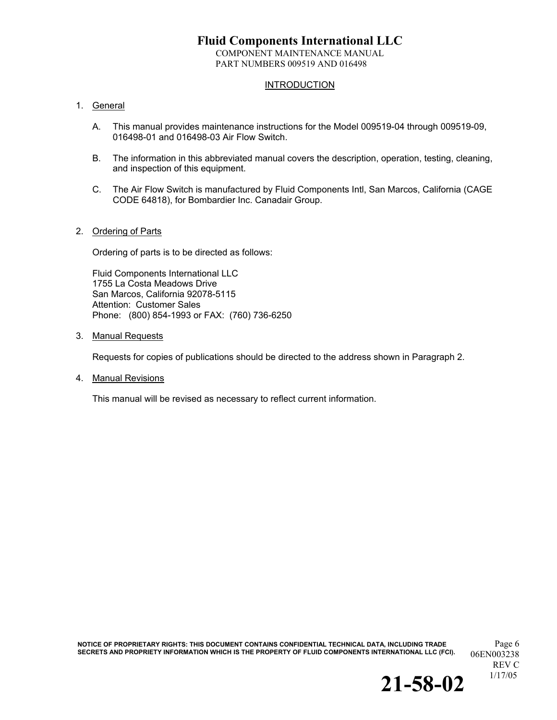COMPONENT MAINTENANCE MANUAL PART NUMBERS 009519 AND 016498

### **INTRODUCTION**

#### 1. General

- A. This manual provides maintenance instructions for the Model 009519-04 through 009519-09, 016498-01 and 016498-03 Air Flow Switch.
- B. The information in this abbreviated manual covers the description, operation, testing, cleaning, and inspection of this equipment.
- C. The Air Flow Switch is manufactured by Fluid Components Intl, San Marcos, California (CAGE CODE 64818), for Bombardier Inc. Canadair Group.

#### 2. Ordering of Parts

Ordering of parts is to be directed as follows:

Fluid Components International LLC 1755 La Costa Meadows Drive San Marcos, California 92078-5115 Attention: Customer Sales Phone: (800) 854-1993 or FAX: (760) 736-6250

3. Manual Requests

Requests for copies of publications should be directed to the address shown in Paragraph 2.

4. Manual Revisions

This manual will be revised as necessary to reflect current information.

**NOTICE OF PROPRIETARY RIGHTS: THIS DOCUMENT CONTAINS CONFIDENTIAL TECHNICAL DATA, INCLUDING TRADE** Page 6 SECRETS AND PROPRIETY INFORMATION WHICH IS THE PROPERTY OF FLUID COMPONENTS INTERNATIONAL LLC (FCI). 06EN003238

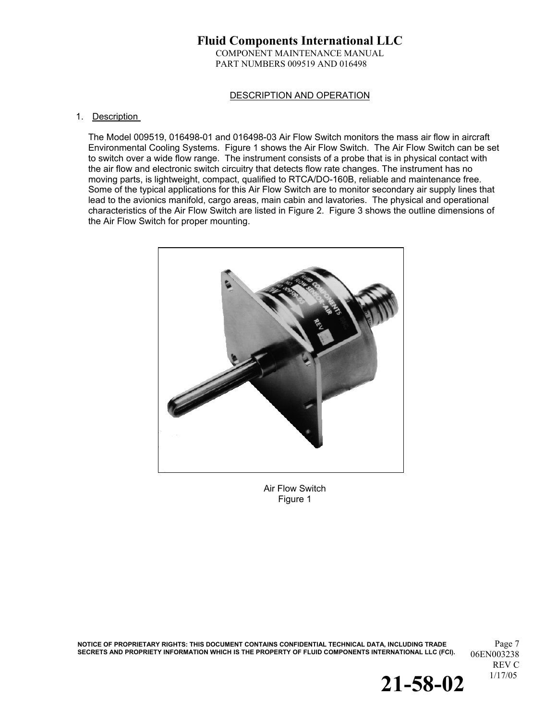### **Fluid Components International LLC**  COMPONENT MAINTENANCE MANUAL PART NUMBERS 009519 AND 016498

#### DESCRIPTION AND OPERATION

#### 1. Description

The Model 009519, 016498-01 and 016498-03 Air Flow Switch monitors the mass air flow in aircraft Environmental Cooling Systems. Figure 1 shows the Air Flow Switch. The Air Flow Switch can be set to switch over a wide flow range. The instrument consists of a probe that is in physical contact with the air flow and electronic switch circuitry that detects flow rate changes. The instrument has no moving parts, is lightweight, compact, qualified to RTCA/DO-160B, reliable and maintenance free. Some of the typical applications for this Air Flow Switch are to monitor secondary air supply lines that lead to the avionics manifold, cargo areas, main cabin and lavatories. The physical and operational characteristics of the Air Flow Switch are listed in Figure 2. Figure 3 shows the outline dimensions of the Air Flow Switch for proper mounting.



Air Flow Switch Figure 1

**NOTICE OF PROPRIETARY RIGHTS: THIS DOCUMENT CONTAINS CONFIDENTIAL TECHNICAL DATA, INCLUDING TRADE** Page 7 SECRETS AND PROPRIETY INFORMATION WHICH IS THE PROPERTY OF FLUID COMPONENTS INTERNATIONAL LLC (FCI). 06EN003238

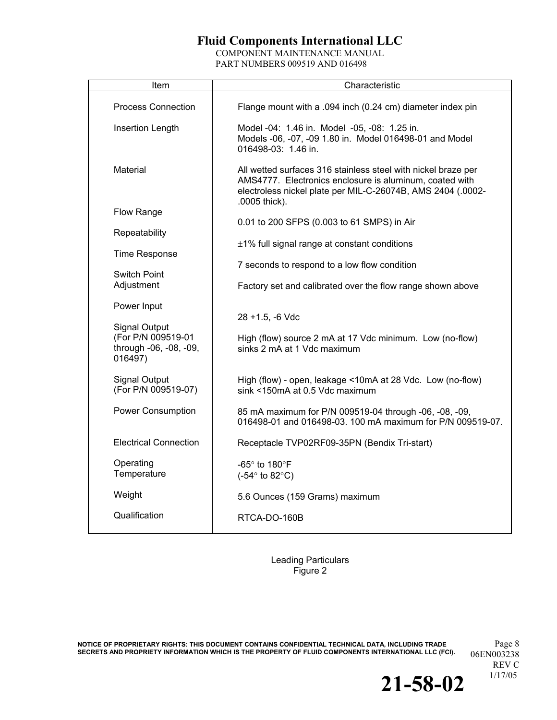COMPONENT MAINTENANCE MANUAL PART NUMBERS 009519 AND 016498

| Item                                                    | Characteristic                                                                                                                                                                                           |
|---------------------------------------------------------|----------------------------------------------------------------------------------------------------------------------------------------------------------------------------------------------------------|
| Process Connection                                      | Flange mount with a .094 inch (0.24 cm) diameter index pin                                                                                                                                               |
| Insertion Length                                        | Model -04: 1.46 in. Model -05, -08: 1.25 in.<br>Models -06, -07, -09 1.80 in. Model 016498-01 and Model<br>016498-03: 1.46 in.                                                                           |
| Material                                                | All wetted surfaces 316 stainless steel with nickel braze per<br>AMS4777. Electronics enclosure is aluminum, coated with<br>electroless nickel plate per MIL-C-26074B, AMS 2404 (.0002-<br>.0005 thick). |
| Flow Range                                              |                                                                                                                                                                                                          |
| Repeatability                                           | 0.01 to 200 SFPS (0.003 to 61 SMPS) in Air                                                                                                                                                               |
|                                                         | $±1\%$ full signal range at constant conditions                                                                                                                                                          |
| <b>Time Response</b>                                    | 7 seconds to respond to a low flow condition                                                                                                                                                             |
| Switch Point<br>Adjustment                              | Factory set and calibrated over the flow range shown above                                                                                                                                               |
| Power Input                                             |                                                                                                                                                                                                          |
| <b>Signal Output</b>                                    | $28 + 1.5$ , -6 Vdc                                                                                                                                                                                      |
| (For P/N 009519-01<br>through -06, -08, -09,<br>016497) | High (flow) source 2 mA at 17 Vdc minimum. Low (no-flow)<br>sinks 2 mA at 1 Vdc maximum                                                                                                                  |
| <b>Signal Output</b><br>(For P/N 009519-07)             | High (flow) - open, leakage <10mA at 28 Vdc. Low (no-flow)<br>sink <150mA at 0.5 Vdc maximum                                                                                                             |
| <b>Power Consumption</b>                                | 85 mA maximum for P/N 009519-04 through -06, -08, -09,<br>016498-01 and 016498-03. 100 mA maximum for P/N 009519-07.                                                                                     |
| <b>Electrical Connection</b>                            | Receptacle TVP02RF09-35PN (Bendix Tri-start)                                                                                                                                                             |
| Operating<br>Temperature                                | -65° to 180°F<br>$(-54^{\circ}$ to 82 $^{\circ}$ C)                                                                                                                                                      |
| Weight                                                  | 5.6 Ounces (159 Grams) maximum                                                                                                                                                                           |
| Qualification                                           | RTCA-DO-160B                                                                                                                                                                                             |

Leading Particulars Figure 2

**NOTICE OF PROPRIETARY RIGHTS: THIS DOCUMENT CONTAINS CONFIDENTIAL TECHNICAL DATA, INCLUDING TRADE** Page 8 SECRETS AND PROPRIETY INFORMATION WHICH IS THE PROPERTY OF FLUID COMPONENTS INTERNATIONAL LLC (FCI).  $06{\rm EN}003238$ 

REV C<br>1/17/05

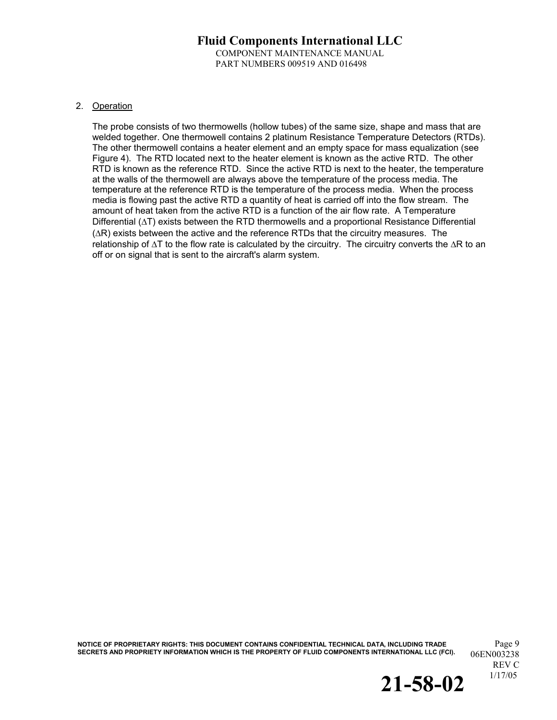### **Fluid Components International LLC**  COMPONENT MAINTENANCE MANUAL PART NUMBERS 009519 AND 016498

#### 2. Operation

The probe consists of two thermowells (hollow tubes) of the same size, shape and mass that are welded together. One thermowell contains 2 platinum Resistance Temperature Detectors (RTDs). The other thermowell contains a heater element and an empty space for mass equalization (see Figure 4). The RTD located next to the heater element is known as the active RTD. The other RTD is known as the reference RTD. Since the active RTD is next to the heater, the temperature at the walls of the thermowell are always above the temperature of the process media. The temperature at the reference RTD is the temperature of the process media. When the process media is flowing past the active RTD a quantity of heat is carried off into the flow stream. The amount of heat taken from the active RTD is a function of the air flow rate. A Temperature Differential (∆T) exists between the RTD thermowells and a proportional Resistance Differential (∆R) exists between the active and the reference RTDs that the circuitry measures. The relationship of ∆T to the flow rate is calculated by the circuitry. The circuitry converts the ∆R to an off or on signal that is sent to the aircraft's alarm system.

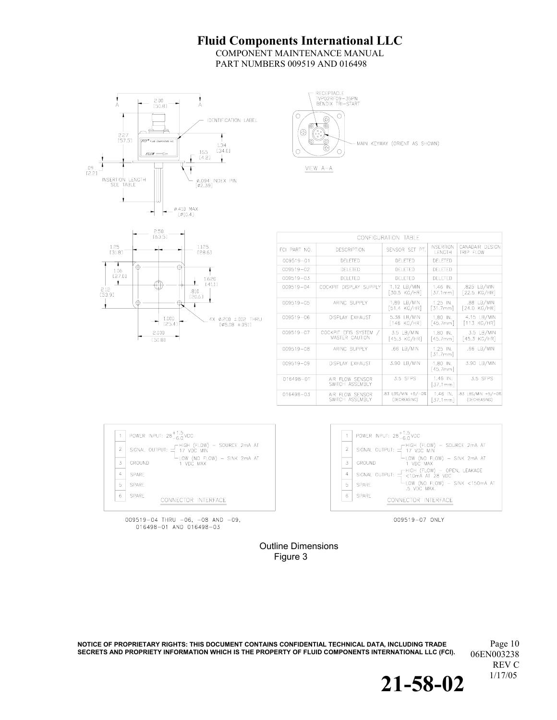COMPONENT MAINTENANCE MANUAL PART NUMBERS 009519 AND 016498







| CONFIGURATION TABLE |                                                |                                    |                                   |                                    |
|---------------------|------------------------------------------------|------------------------------------|-----------------------------------|------------------------------------|
| FCI PART NO.        | <b>DESCRIPTION</b>                             | SENSOR SET PT.                     | <b>INSERTION</b><br><b>LENGTH</b> | CANADAIR DESIGN<br>TRIP FLOW       |
| 009519-01           | DELETED                                        | DELETED                            | DELETED                           |                                    |
| $009519 - 02$       | DELETED                                        | DELETED                            | DELETED                           |                                    |
| $009519 - 03$       | DELETED                                        | DELETED                            | DELETED                           |                                    |
| $009519 - 04$       | COCKPIT DISPLAY SUPPLY                         | 1.12 LB/MIN<br>[30.5 KG/HR]        | $1.46$ IN.<br>[37.1mm]            | .825 LB/MIN<br>[22.5 KG/HR]        |
| 009519-05           | ARINC SUPPLY                                   | 1.89 LB/MIN<br>[51.4 KG/HR]        | $1.25$ IN.<br>[31.7mm]            | .88 LB/MIN<br>[24.0 KG/HR]         |
| 009519-06           | DISPLAY EXHAUST                                | 5.38 LB/MIN<br>$[146$ KG/HR]       | $1.80$ IN.<br>[45.7mm]            | 4.15 LB/MIN<br>$[113$ KG/HR]       |
| 009519-07           | COCKPIT EFIS SYSTEM /<br><b>MASTER CAUTION</b> | 3.5 LB/MIN<br>$[45.3$ KG/HR]       | $1.80$ IN.<br>[45.7mm]            | 3.5 LB/MIN<br>[45.3 KG/HR]         |
| 009519-08           | ARINC SUPPLY                                   | .66 LB/MIN                         | $1.25$ IN.<br>[31.7mm]            | $.66$ LB/MIN                       |
| 009519-09           | DISPLAY FXHAUST                                | 3.90 LB/MIN                        | 1.80 IN.<br>[45.7mm]              | 3.90 LB/MIN                        |
| 016498-01           | AIR FLOW SENSOR<br>SWITCH ASSEMBLY             | 3.5 SFPS                           | 1.46 IN.<br>[37.1mm]              | 3.5 SFPS                           |
| 016498-03           | AIR FLOW SENSOR<br>SWITCH ASSEMBLY             | .83 LBS/MIN +5/-0%<br>(DECREASING) | $1.46$ IN.<br>[37.1mm]            | .83 LBS/MIN +5/-0%<br>(DECREASING) |
|                     |                                                |                                    |                                   |                                    |





009519-07 ONLY

009519-04 THRU -06, -08 AND -09,<br>016498-01 AND 016498-03

Outline Dimensions Figure 3

**NOTICE OF PROPRIETARY RIGHTS: THIS DOCUMENT CONTAINS CONFIDENTIAL TECHNICAL DATA, INCLUDING TRADE** Page 10 SECRETS AND PROPRIETY INFORMATION WHICH IS THE PROPERTY OF FLUID COMPONENTS INTERNATIONAL LLC (FCI). 06EN003238

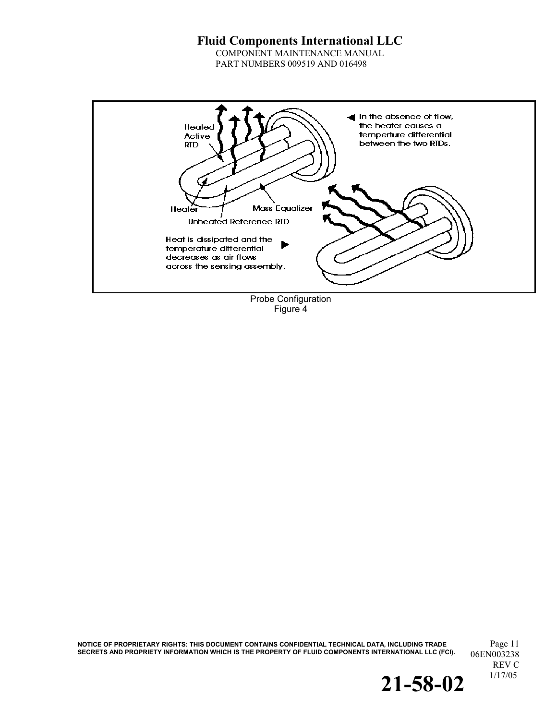COMPONENT MAINTENANCE MANUAL PART NUMBERS 009519 AND 016498



Figure 4

<code>NOTICE</code> OF PROPRIETARY RIGHTS: THIS DOCUMENT CONTAINS CONFIDENTIAL TECHNICAL DATA, INCLUDING TRADE  $\rm Page~11$ SECRETS AND PROPRIETY INFORMATION WHICH IS THE PROPERTY OF FLUID COMPONENTS INTERNATIONAL LLC (FCI).  $06{\rm EN}003238$ 

REV C<br>1/17/05

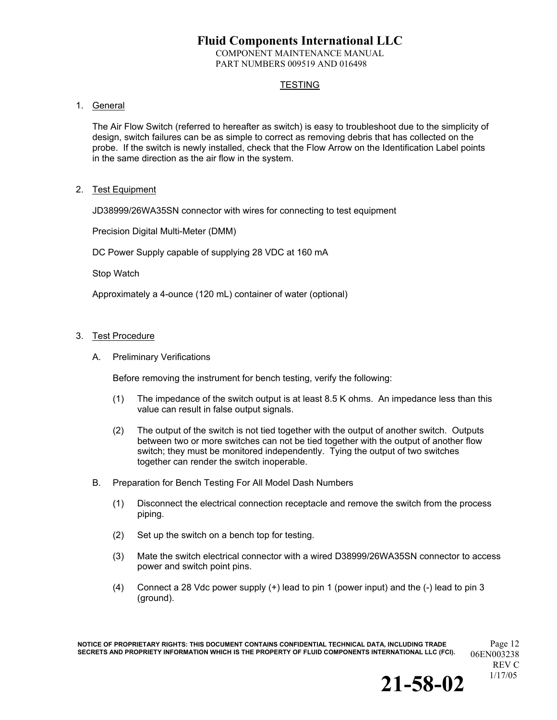COMPONENT MAINTENANCE MANUAL PART NUMBERS 009519 AND 016498

### **TESTING**

### 1. General

The Air Flow Switch (referred to hereafter as switch) is easy to troubleshoot due to the simplicity of design, switch failures can be as simple to correct as removing debris that has collected on the probe. If the switch is newly installed, check that the Flow Arrow on the Identification Label points in the same direction as the air flow in the system.

2. Test Equipment

JD38999/26WA35SN connector with wires for connecting to test equipment

Precision Digital Multi-Meter (DMM)

DC Power Supply capable of supplying 28 VDC at 160 mA

Stop Watch

Approximately a 4-ounce (120 mL) container of water (optional)

#### 3. Test Procedure

A. Preliminary Verifications

Before removing the instrument for bench testing, verify the following:

- (1) The impedance of the switch output is at least 8.5 K ohms. An impedance less than this value can result in false output signals.
- (2) The output of the switch is not tied together with the output of another switch. Outputs between two or more switches can not be tied together with the output of another flow switch; they must be monitored independently. Tying the output of two switches together can render the switch inoperable.
- B. Preparation for Bench Testing For All Model Dash Numbers
	- (1) Disconnect the electrical connection receptacle and remove the switch from the process piping.
	- (2) Set up the switch on a bench top for testing.
	- (3) Mate the switch electrical connector with a wired D38999/26WA35SN connector to access power and switch point pins.
	- (4) Connect a 28 Vdc power supply (+) lead to pin 1 (power input) and the (-) lead to pin 3 (ground).

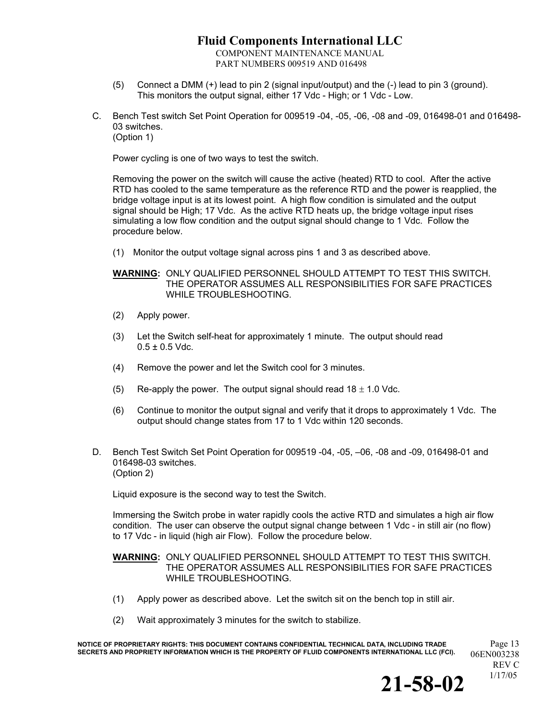COMPONENT MAINTENANCE MANUAL PART NUMBERS 009519 AND 016498

- (5) Connect a DMM (+) lead to pin 2 (signal input/output) and the (-) lead to pin 3 (ground). This monitors the output signal, either 17 Vdc - High; or 1 Vdc - Low.
- C. Bench Test switch Set Point Operation for 009519 -04, -05, -06, -08 and -09, 016498-01 and 016498- 03 switches. (Option 1)

Power cycling is one of two ways to test the switch.

Removing the power on the switch will cause the active (heated) RTD to cool. After the active RTD has cooled to the same temperature as the reference RTD and the power is reapplied, the bridge voltage input is at its lowest point. A high flow condition is simulated and the output signal should be High; 17 Vdc. As the active RTD heats up, the bridge voltage input rises simulating a low flow condition and the output signal should change to 1 Vdc. Follow the procedure below.

(1) Monitor the output voltage signal across pins 1 and 3 as described above.

**WARNING:** ONLY QUALIFIED PERSONNEL SHOULD ATTEMPT TO TEST THIS SWITCH. THE OPERATOR ASSUMES ALL RESPONSIBILITIES FOR SAFE PRACTICES WHILE TROUBLESHOOTING.

- (2) Apply power.
- (3) Let the Switch self-heat for approximately 1 minute. The output should read  $0.5 \pm 0.5$  Vdc.
- (4) Remove the power and let the Switch cool for 3 minutes.
- (5) Re-apply the power. The output signal should read  $18 \pm 1.0$  Vdc.
- (6) Continue to monitor the output signal and verify that it drops to approximately 1 Vdc. The output should change states from 17 to 1 Vdc within 120 seconds.
- D. Bench Test Switch Set Point Operation for 009519 -04, -05, –06, -08 and -09, 016498-01 and 016498-03 switches. (Option 2)

Liquid exposure is the second way to test the Switch.

Immersing the Switch probe in water rapidly cools the active RTD and simulates a high air flow condition. The user can observe the output signal change between 1 Vdc - in still air (no flow) to 17 Vdc - in liquid (high air Flow). Follow the procedure below.

#### **WARNING:** ONLY QUALIFIED PERSONNEL SHOULD ATTEMPT TO TEST THIS SWITCH. THE OPERATOR ASSUMES ALL RESPONSIBILITIES FOR SAFE PRACTICES WHILE TROUBLESHOOTING.

- (1) Apply power as described above. Let the switch sit on the bench top in still air.
- (2) Wait approximately 3 minutes for the switch to stabilize.

**NOTICE OF PROPRIETARY RIGHTS: THIS DOCUMENT CONTAINS CONFIDENTIAL TECHNICAL DATA, INCLUDING TRADE** Page 13 SECRETS AND PROPRIETY INFORMATION WHICH IS THE PROPERTY OF FLUID COMPONENTS INTERNATIONAL LLC (FCI).  $06EN003238$ 

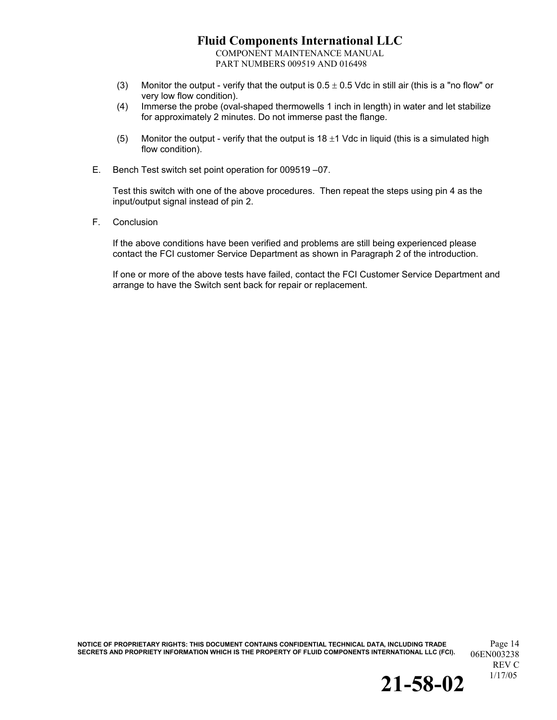COMPONENT MAINTENANCE MANUAL PART NUMBERS 009519 AND 016498

- (3) Monitor the output verify that the output is  $0.5 \pm 0.5$  Vdc in still air (this is a "no flow" or very low flow condition).
- (4) Immerse the probe (oval-shaped thermowells 1 inch in length) in water and let stabilize for approximately 2 minutes. Do not immerse past the flange.
- (5) Monitor the output verify that the output is  $18 \pm 1$  Vdc in liquid (this is a simulated high flow condition).
- E. Bench Test switch set point operation for 009519 –07.

Test this switch with one of the above procedures. Then repeat the steps using pin 4 as the input/output signal instead of pin 2.

F. Conclusion

If the above conditions have been verified and problems are still being experienced please contact the FCI customer Service Department as shown in Paragraph 2 of the introduction.

If one or more of the above tests have failed, contact the FCI Customer Service Department and arrange to have the Switch sent back for repair or replacement.

**NOTICE OF PROPRIETARY RIGHTS: THIS DOCUMENT CONTAINS CONFIDENTIAL TECHNICAL DATA, INCLUDING TRADE** Page 14 SECRETS AND PROPRIETY INFORMATION WHICH IS THE PROPERTY OF FLUID COMPONENTS INTERNATIONAL LLC (FCI). 06EN003238